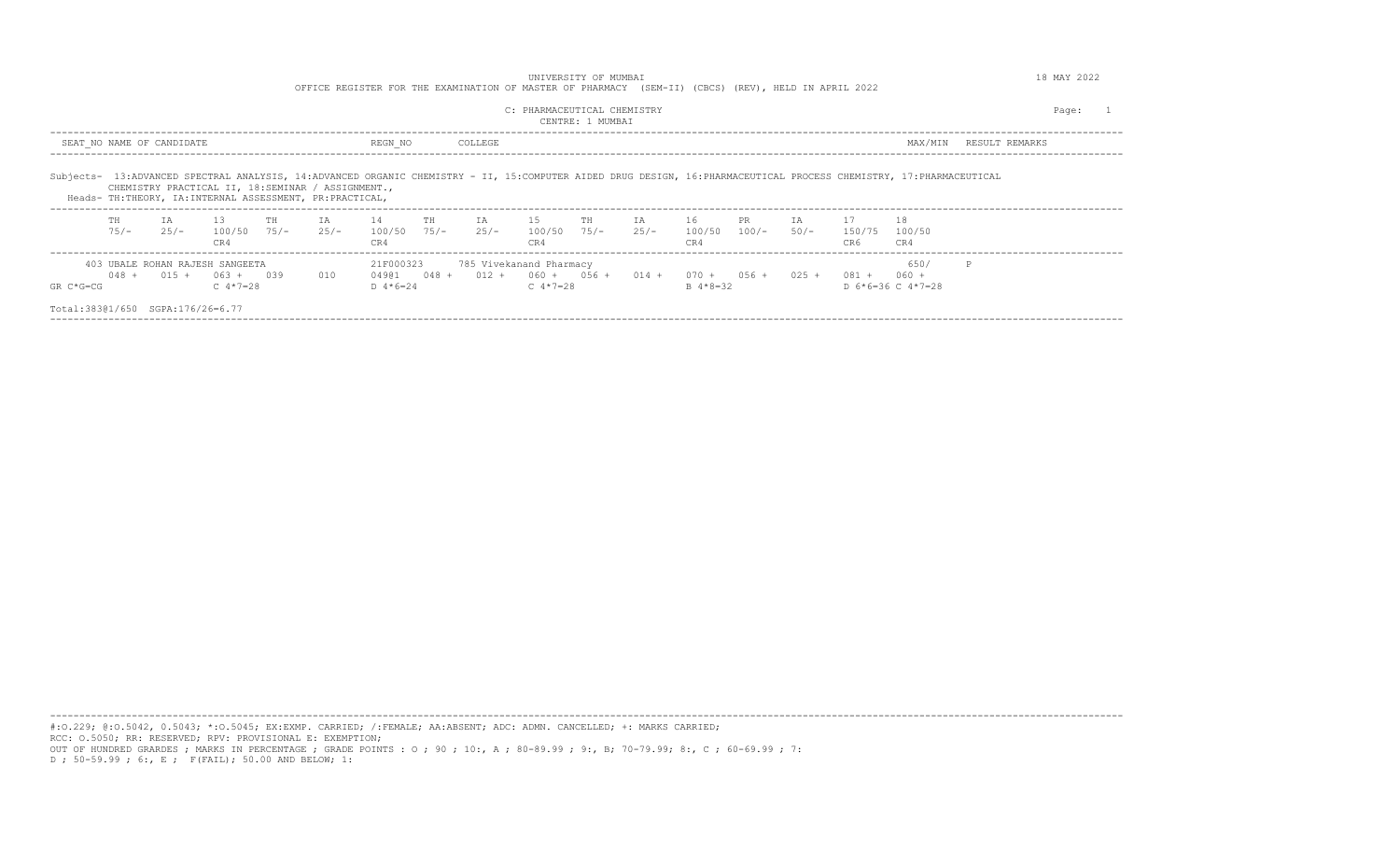|                                  |               |                           |                                                                    |    |                                                                                                              | OFFICE REGISTER FOR THE EXAMINATION OF MASTER OF PHARMACY (SEM-II) (CBCS) (REV), HELD IN APRIL 2022 |         |                                                                                                    | UNIVERSITY OF MUMBAI |              |                     |                    |           |                            |                                                                                                                                                                    |                | 18 MAY 2022 |
|----------------------------------|---------------|---------------------------|--------------------------------------------------------------------|----|--------------------------------------------------------------------------------------------------------------|-----------------------------------------------------------------------------------------------------|---------|----------------------------------------------------------------------------------------------------|----------------------|--------------|---------------------|--------------------|-----------|----------------------------|--------------------------------------------------------------------------------------------------------------------------------------------------------------------|----------------|-------------|
|                                  |               |                           |                                                                    |    |                                                                                                              |                                                                                                     |         | C: PHARMACEUTICAL CHEMISTRY                                                                        | CENTRE: 1 MUMBAI     |              |                     |                    |           |                            |                                                                                                                                                                    |                | Page:       |
|                                  |               | SEAT NO NAME OF CANDIDATE |                                                                    |    |                                                                                                              | REGN NO                                                                                             | COLLEGE |                                                                                                    |                      |              |                     |                    |           |                            | MAX/MIN                                                                                                                                                            | RESULT REMARKS |             |
|                                  |               |                           |                                                                    |    | CHEMISTRY PRACTICAL II, 18:SEMINAR / ASSIGNMENT.,<br>Heads- TH:THEORY, IA:INTERNAL ASSESSMENT, PR:PRACTICAL, |                                                                                                     |         |                                                                                                    |                      |              |                     |                    |           |                            | Subjects- 13:ADVANCED SPECTRAL ANALYSIS, 14:ADVANCED ORGANIC CHEMISTRY - II, 15:COMPUTER AIDED DRUG DESIGN, 16:PHARMACEUTICAL PROCESS CHEMISTRY, 17:PHARMACEUTICAL |                |             |
|                                  | TH<br>$75/ -$ | T A<br>$25/-$             | 13<br>$100/50$ 75/-<br>CR4                                         | TH | IA<br>$25/-$                                                                                                 | $14$ TH<br>100/50 75/- 25/- 100/50 75/-<br>CR4                                                      | IA 15   | CR4                                                                                                | TН                   | IA<br>$25/-$ | 16<br>100/50<br>CR4 | PR .<br>100/- 50/- | <b>IA</b> | 17<br>150/75 100/50<br>CR6 | 18<br>CR4                                                                                                                                                          |                |             |
| $GR C*G=CG$                      | $048 +$       |                           | 403 UBALE ROHAN RAJESH SANGEETA<br>$015 + 063 + 039$<br>C $4*7=28$ |    | 010                                                                                                          | 21F000323<br>D $4*6=24$                                                                             |         | 785 Vivekanand Pharmacy<br>$049@1$ $048 + 012 + 060 + 056 + 014 + 070 + 056 + 025 +$<br>C $4*7=28$ |                      |              | $B \ 4*8=32$        |                    |           | $081 + 060 +$              | 650/<br>D $6*6=36$ C $4*7=28$                                                                                                                                      |                |             |
| Total:38301/650 SGPA:176/26=6.77 |               |                           |                                                                    |    |                                                                                                              |                                                                                                     |         |                                                                                                    |                      |              |                     |                    |           |                            |                                                                                                                                                                    |                |             |

---------------------------------------------------------------------------------------------------------------------------------------------------------------------------------------- #:O.229; @:O.5042, 0.5043; \*:O.5045; EX:EXMP. CARRIED; /:FEMALE; AA:ABSENT; ADC: ADMN. CANCELLED; +: MARKS CARRIED; RCC: O.5050; RR: RESERVED; RPV: PROVISIONAL E: EXEMPTION; OUT OF HUNDRED GRARDES ; MARKS IN PERCENTAGE ; GRADE POINTS : O ; 90 ; 10:, A ; 80-89.99 ; 9:, B; 70-79.99; 8:, C ; 60-69.99 ; 7: D ; 50-59.99 ; 6:, E ; F(FAIL); 50.00 AND BELOW; 1: